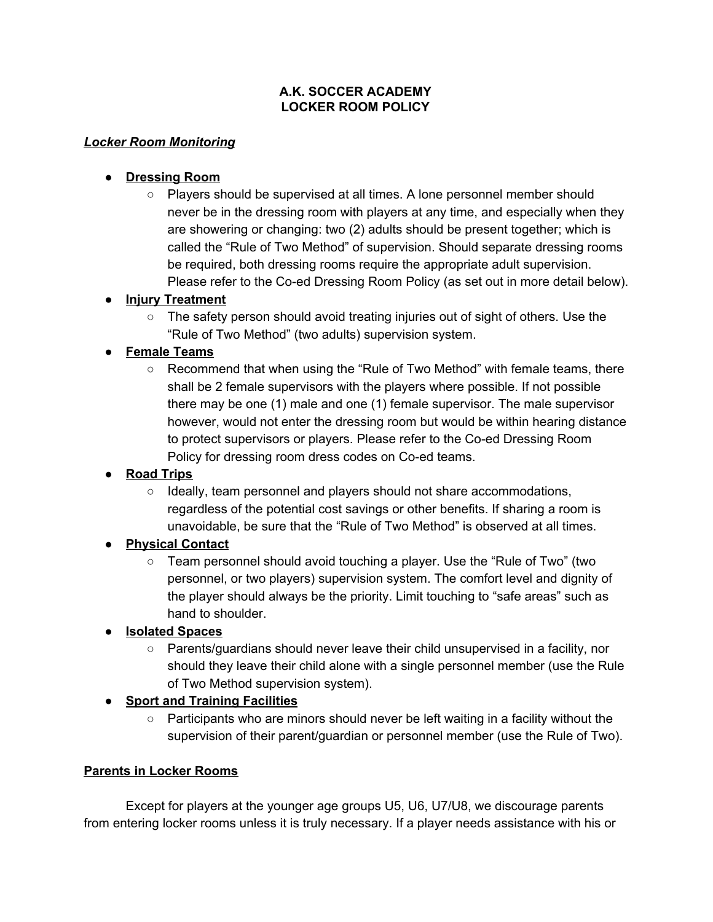#### **A.K. SOCCER ACADEMY LOCKER ROOM POLICY**

#### *Locker Room Monitoring*

#### **● Dressing Room**

○ Players should be supervised at all times. A lone personnel member should never be in the dressing room with players at any time, and especially when they are showering or changing: two (2) adults should be present together; which is called the "Rule of Two Method" of supervision. Should separate dressing rooms be required, both dressing rooms require the appropriate adult supervision. Please refer to the Co-ed Dressing Room Policy (as set out in more detail below).

#### **● Injury Treatment**

○ The safety person should avoid treating injuries out of sight of others. Use the "Rule of Two Method" (two adults) supervision system.

# **● Female Teams**

 $\circ$  Recommend that when using the "Rule of Two Method" with female teams, there shall be 2 female supervisors with the players where possible. If not possible there may be one (1) male and one (1) female supervisor. The male supervisor however, would not enter the dressing room but would be within hearing distance to protect supervisors or players. Please refer to the Co-ed Dressing Room Policy for dressing room dress codes on Co-ed teams.

# **● Road Trips**

○ Ideally, team personnel and players should not share accommodations, regardless of the potential cost savings or other benefits. If sharing a room is unavoidable, be sure that the "Rule of Two Method" is observed at all times.

# **● Physical Contact**

○ Team personnel should avoid touching a player. Use the "Rule of Two" (two personnel, or two players) supervision system. The comfort level and dignity of the player should always be the priority. Limit touching to "safe areas" such as hand to shoulder.

# **● Isolated Spaces**

 $\circ$  Parents/guardians should never leave their child unsupervised in a facility, nor should they leave their child alone with a single personnel member (use the Rule of Two Method supervision system).

# **● Sport and Training Facilities**

 $\circ$  Participants who are minors should never be left waiting in a facility without the supervision of their parent/guardian or personnel member (use the Rule of Two).

#### **Parents in Locker Rooms**

Except for players at the younger age groups U5, U6, U7/U8, we discourage parents from entering locker rooms unless it is truly necessary. If a player needs assistance with his or